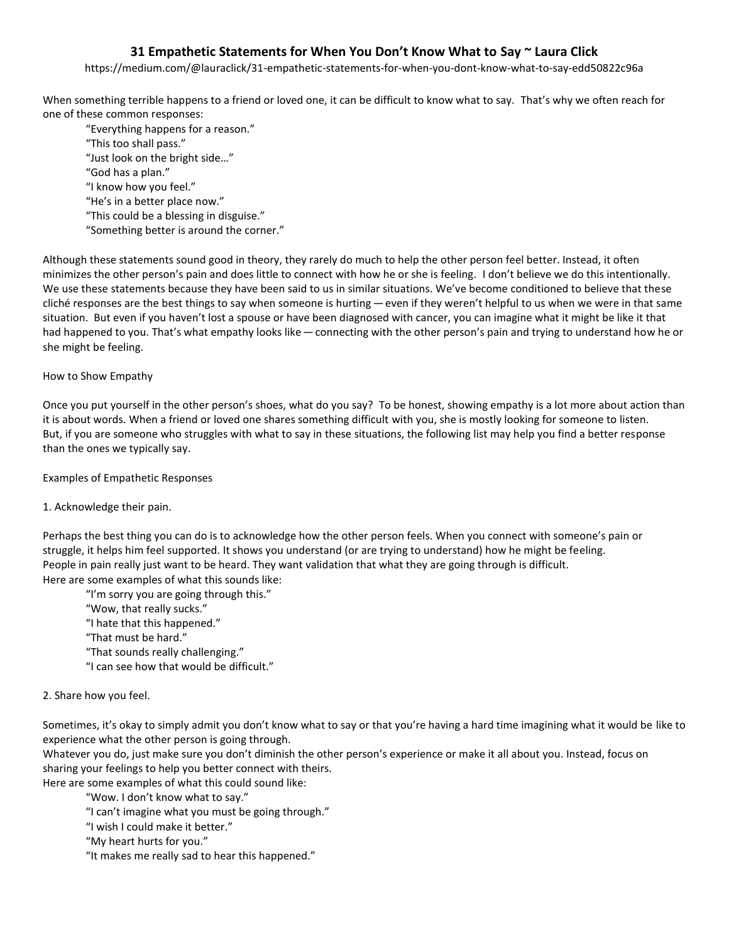# **31 Empathetic Statements for When You Don't Know What to Say ~ Laura Click**

https://medium.com/@lauraclick/31-empathetic-statements-for-when-you-dont-know-what-to-say-edd50822c96a

When something terrible happens to a friend or loved one, it can be difficult to know what to say. That's why we often reach for one of these common responses:

"Everything happens for a reason." "This too shall pass." "Just look on the bright side…" "God has a plan." "I know how you feel." "He's in a better place now." "This could be a blessing in disguise." "Something better is around the corner."

Although these statements sound good in theory, they rarely do much to help the other person feel better. Instead, it often minimizes the other person's pain and does little to connect with how he or she is feeling. I don't believe we do this intentionally. We use these statements because they have been said to us in similar situations. We've become conditioned to believe that these cliché responses are the best things to say when someone is hurting — even if they weren't helpful to us when we were in that same situation. But even if you haven't lost a spouse or have been diagnosed with cancer, you can imagine what it might be like it that had happened to you. That's what empathy looks like — connecting with the other person's pain and trying to understand how he or she might be feeling.

# How to Show Empathy

Once you put yourself in the other person's shoes, what do you say? To be honest, showing empathy is a lot more about action than it is about words. When a friend or loved one shares something difficult with you, she is mostly looking for someone to listen. But, if you are someone who struggles with what to say in these situations, the following list may help you find a better response than the ones we typically say.

### Examples of Empathetic Responses

# 1. Acknowledge their pain.

Perhaps the best thing you can do is to acknowledge how the other person feels. When you connect with someone's pain or struggle, it helps him feel supported. It shows you understand (or are trying to understand) how he might be feeling. People in pain really just want to be heard. They want validation that what they are going through is difficult. Here are some examples of what this sounds like:

"I'm sorry you are going through this."

- "Wow, that really sucks."
- "I hate that this happened."
- "That must be hard."
- "That sounds really challenging."
- "I can see how that would be difficult."

#### 2. Share how you feel.

Sometimes, it's okay to simply admit you don't know what to say or that you're having a hard time imagining what it would be like to experience what the other person is going through.

Whatever you do, just make sure you don't diminish the other person's experience or make it all about you. Instead, focus on sharing your feelings to help you better connect with theirs.

Here are some examples of what this could sound like:

"Wow. I don't know what to say."

- "I can't imagine what you must be going through."
- "I wish I could make it better."

"My heart hurts for you."

"It makes me really sad to hear this happened."